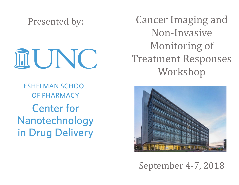Presented by:

EUNC.

**ESHELMAN SCHOOL OF PHARMACY Center for** Nanotechnology in Drug Delivery

Cancer Imaging and Non-Invasive Monitoring of Treatment Responses Workshop



September 4-7, 2018